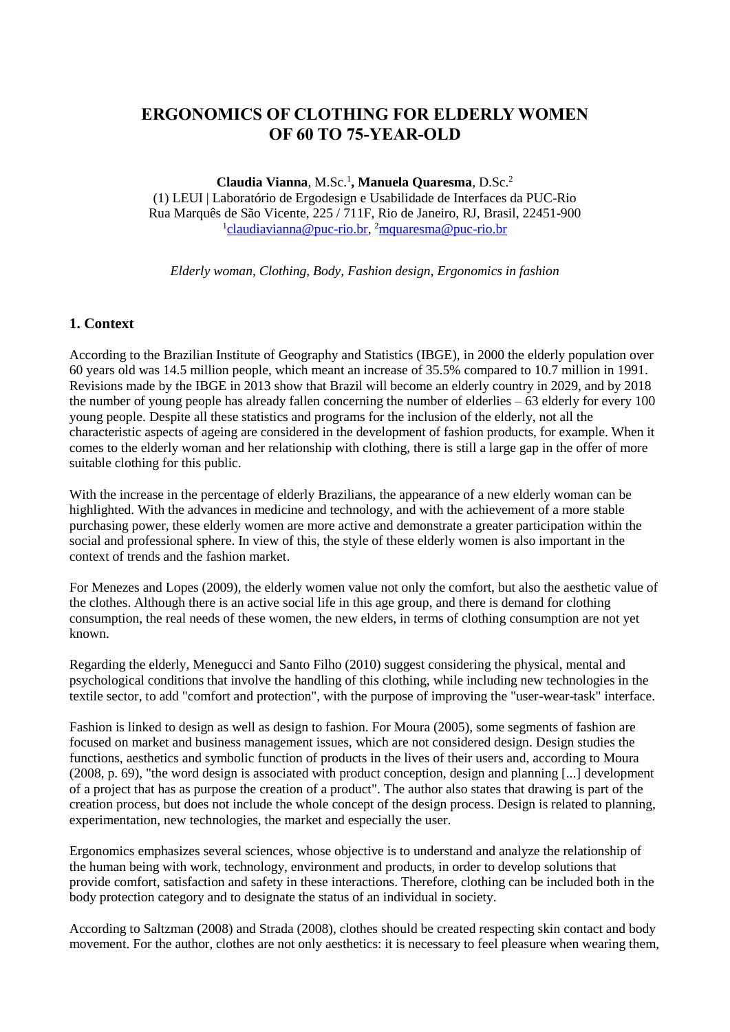# **ERGONOMICS OF CLOTHING FOR ELDERLY WOMEN OF 60 TO 75-YEAR-OLD**

**Claudia Vianna**, M.Sc.<sup>1</sup> **, Manuela Quaresma**, D.Sc.<sup>2</sup> (1) LEUI | Laboratório de Ergodesign e Usabilidade de Interfaces da PUC-Rio Rua Marquês de São Vicente, 225 / 711F, Rio de Janeiro, RJ, Brasil, 22451-900 <sup>1</sup>[claudiavianna@puc-rio.br,](mailto:claudiavianna@puc-rio.br) <sup>2</sup>[mquaresma@puc-rio.br](mailto:mquaresma@puc-rio.br)

*Elderly woman, Clothing, Body, Fashion design, Ergonomics in fashion*

### **1. Context**

According to the Brazilian Institute of Geography and Statistics (IBGE), in 2000 the elderly population over 60 years old was 14.5 million people, which meant an increase of 35.5% compared to 10.7 million in 1991. Revisions made by the IBGE in 2013 show that Brazil will become an elderly country in 2029, and by 2018 the number of young people has already fallen concerning the number of elderlies – 63 elderly for every 100 young people. Despite all these statistics and programs for the inclusion of the elderly, not all the characteristic aspects of ageing are considered in the development of fashion products, for example. When it comes to the elderly woman and her relationship with clothing, there is still a large gap in the offer of more suitable clothing for this public.

With the increase in the percentage of elderly Brazilians, the appearance of a new elderly woman can be highlighted. With the advances in medicine and technology, and with the achievement of a more stable purchasing power, these elderly women are more active and demonstrate a greater participation within the social and professional sphere. In view of this, the style of these elderly women is also important in the context of trends and the fashion market.

For Menezes and Lopes (2009), the elderly women value not only the comfort, but also the aesthetic value of the clothes. Although there is an active social life in this age group, and there is demand for clothing consumption, the real needs of these women, the new elders, in terms of clothing consumption are not yet known.

Regarding the elderly, Menegucci and Santo Filho (2010) suggest considering the physical, mental and psychological conditions that involve the handling of this clothing, while including new technologies in the textile sector, to add "comfort and protection", with the purpose of improving the "user-wear-task" interface.

Fashion is linked to design as well as design to fashion. For Moura (2005), some segments of fashion are focused on market and business management issues, which are not considered design. Design studies the functions, aesthetics and symbolic function of products in the lives of their users and, according to Moura (2008, p. 69), "the word design is associated with product conception, design and planning [...] development of a project that has as purpose the creation of a product". The author also states that drawing is part of the creation process, but does not include the whole concept of the design process. Design is related to planning, experimentation, new technologies, the market and especially the user.

Ergonomics emphasizes several sciences, whose objective is to understand and analyze the relationship of the human being with work, technology, environment and products, in order to develop solutions that provide comfort, satisfaction and safety in these interactions. Therefore, clothing can be included both in the body protection category and to designate the status of an individual in society.

According to Saltzman (2008) and Strada (2008), clothes should be created respecting skin contact and body movement. For the author, clothes are not only aesthetics: it is necessary to feel pleasure when wearing them,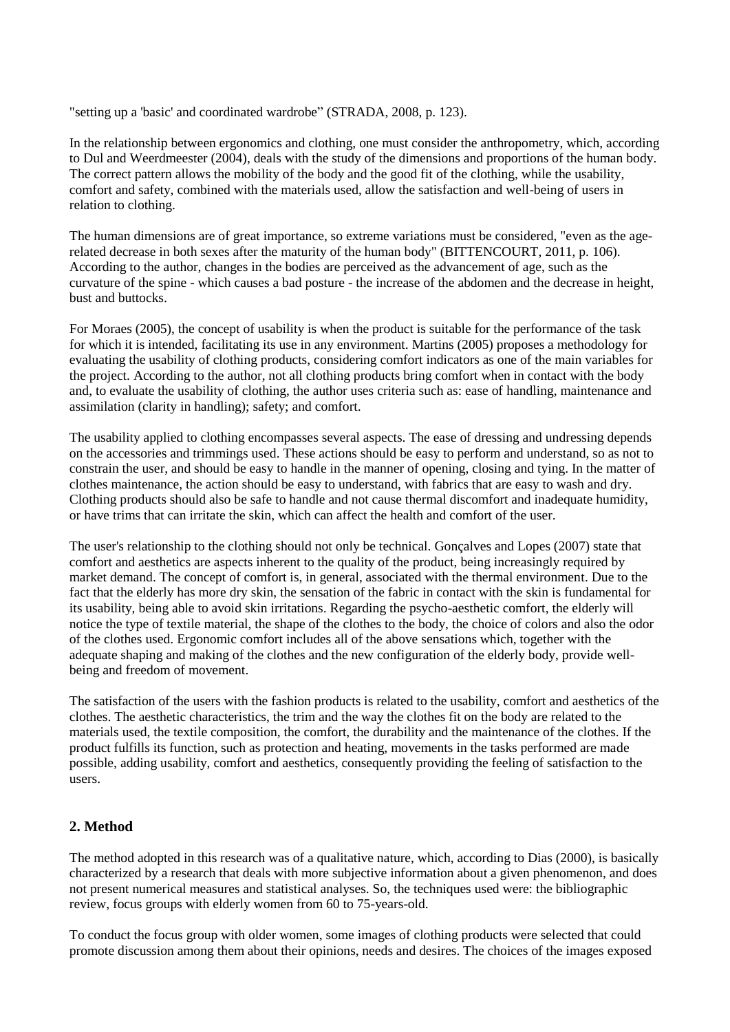"setting up a 'basic' and coordinated wardrobe" (STRADA, 2008, p. 123).

In the relationship between ergonomics and clothing, one must consider the anthropometry, which, according to Dul and Weerdmeester (2004), deals with the study of the dimensions and proportions of the human body. The correct pattern allows the mobility of the body and the good fit of the clothing, while the usability, comfort and safety, combined with the materials used, allow the satisfaction and well-being of users in relation to clothing.

The human dimensions are of great importance, so extreme variations must be considered, "even as the agerelated decrease in both sexes after the maturity of the human body" (BITTENCOURT, 2011, p. 106). According to the author, changes in the bodies are perceived as the advancement of age, such as the curvature of the spine - which causes a bad posture - the increase of the abdomen and the decrease in height, bust and buttocks.

For Moraes (2005), the concept of usability is when the product is suitable for the performance of the task for which it is intended, facilitating its use in any environment. Martins (2005) proposes a methodology for evaluating the usability of clothing products, considering comfort indicators as one of the main variables for the project. According to the author, not all clothing products bring comfort when in contact with the body and, to evaluate the usability of clothing, the author uses criteria such as: ease of handling, maintenance and assimilation (clarity in handling); safety; and comfort.

The usability applied to clothing encompasses several aspects. The ease of dressing and undressing depends on the accessories and trimmings used. These actions should be easy to perform and understand, so as not to constrain the user, and should be easy to handle in the manner of opening, closing and tying. In the matter of clothes maintenance, the action should be easy to understand, with fabrics that are easy to wash and dry. Clothing products should also be safe to handle and not cause thermal discomfort and inadequate humidity, or have trims that can irritate the skin, which can affect the health and comfort of the user.

The user's relationship to the clothing should not only be technical. Gonçalves and Lopes (2007) state that comfort and aesthetics are aspects inherent to the quality of the product, being increasingly required by market demand. The concept of comfort is, in general, associated with the thermal environment. Due to the fact that the elderly has more dry skin, the sensation of the fabric in contact with the skin is fundamental for its usability, being able to avoid skin irritations. Regarding the psycho-aesthetic comfort, the elderly will notice the type of textile material, the shape of the clothes to the body, the choice of colors and also the odor of the clothes used. Ergonomic comfort includes all of the above sensations which, together with the adequate shaping and making of the clothes and the new configuration of the elderly body, provide wellbeing and freedom of movement.

The satisfaction of the users with the fashion products is related to the usability, comfort and aesthetics of the clothes. The aesthetic characteristics, the trim and the way the clothes fit on the body are related to the materials used, the textile composition, the comfort, the durability and the maintenance of the clothes. If the product fulfills its function, such as protection and heating, movements in the tasks performed are made possible, adding usability, comfort and aesthetics, consequently providing the feeling of satisfaction to the users.

## **2. Method**

The method adopted in this research was of a qualitative nature, which, according to Dias (2000), is basically characterized by a research that deals with more subjective information about a given phenomenon, and does not present numerical measures and statistical analyses. So, the techniques used were: the bibliographic review, focus groups with elderly women from 60 to 75-years-old.

To conduct the focus group with older women, some images of clothing products were selected that could promote discussion among them about their opinions, needs and desires. The choices of the images exposed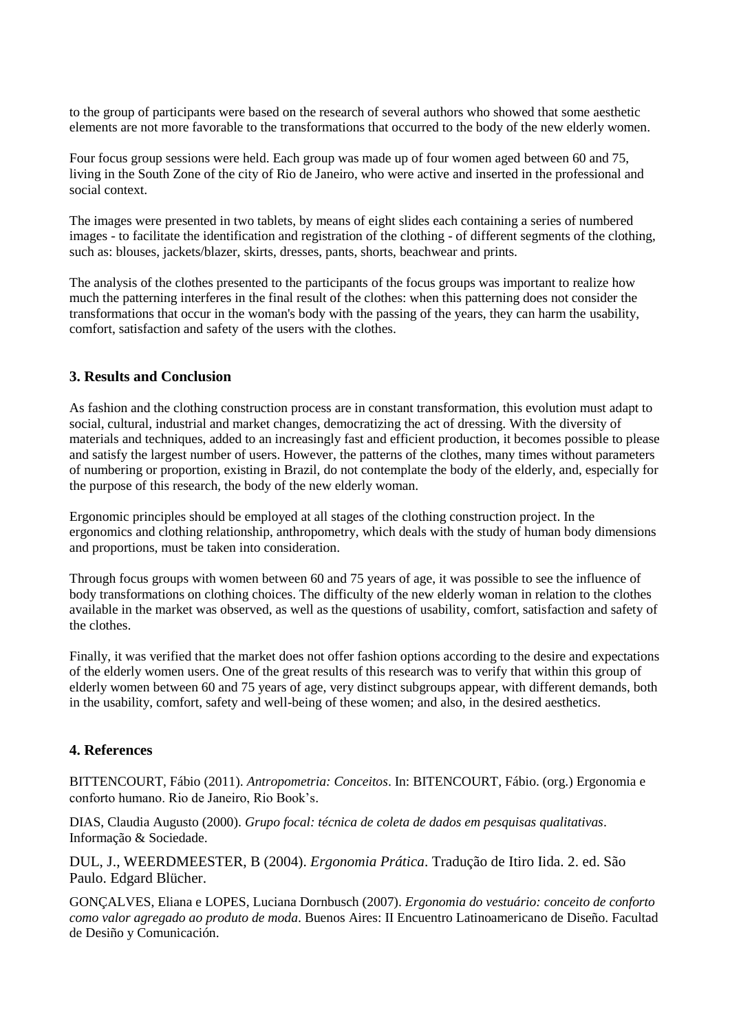to the group of participants were based on the research of several authors who showed that some aesthetic elements are not more favorable to the transformations that occurred to the body of the new elderly women.

Four focus group sessions were held. Each group was made up of four women aged between 60 and 75, living in the South Zone of the city of Rio de Janeiro, who were active and inserted in the professional and social context.

The images were presented in two tablets, by means of eight slides each containing a series of numbered images - to facilitate the identification and registration of the clothing - of different segments of the clothing, such as: blouses, jackets/blazer, skirts, dresses, pants, shorts, beachwear and prints.

The analysis of the clothes presented to the participants of the focus groups was important to realize how much the patterning interferes in the final result of the clothes: when this patterning does not consider the transformations that occur in the woman's body with the passing of the years, they can harm the usability, comfort, satisfaction and safety of the users with the clothes.

# **3. Results and Conclusion**

As fashion and the clothing construction process are in constant transformation, this evolution must adapt to social, cultural, industrial and market changes, democratizing the act of dressing. With the diversity of materials and techniques, added to an increasingly fast and efficient production, it becomes possible to please and satisfy the largest number of users. However, the patterns of the clothes, many times without parameters of numbering or proportion, existing in Brazil, do not contemplate the body of the elderly, and, especially for the purpose of this research, the body of the new elderly woman.

Ergonomic principles should be employed at all stages of the clothing construction project. In the ergonomics and clothing relationship, anthropometry, which deals with the study of human body dimensions and proportions, must be taken into consideration.

Through focus groups with women between 60 and 75 years of age, it was possible to see the influence of body transformations on clothing choices. The difficulty of the new elderly woman in relation to the clothes available in the market was observed, as well as the questions of usability, comfort, satisfaction and safety of the clothes.

Finally, it was verified that the market does not offer fashion options according to the desire and expectations of the elderly women users. One of the great results of this research was to verify that within this group of elderly women between 60 and 75 years of age, very distinct subgroups appear, with different demands, both in the usability, comfort, safety and well-being of these women; and also, in the desired aesthetics.

## **4. References**

BITTENCOURT, Fábio (2011). *Antropometria: Conceitos*. In: BITENCOURT, Fábio. (org.) Ergonomia e conforto humano. Rio de Janeiro, Rio Book's.

DIAS, Claudia Augusto (2000). *Grupo focal: técnica de coleta de dados em pesquisas qualitativas*. Informação & Sociedade.

DUL, J., WEERDMEESTER, B (2004). *Ergonomia Prática*. Tradução de Itiro Iida. 2. ed. São Paulo. Edgard Blücher.

GONÇALVES, Eliana e LOPES, Luciana Dornbusch (2007). *Ergonomia do vestuário: conceito de conforto como valor agregado ao produto de moda*. Buenos Aires: II Encuentro Latinoamericano de Diseño. Facultad de Desiño y Comunicación.